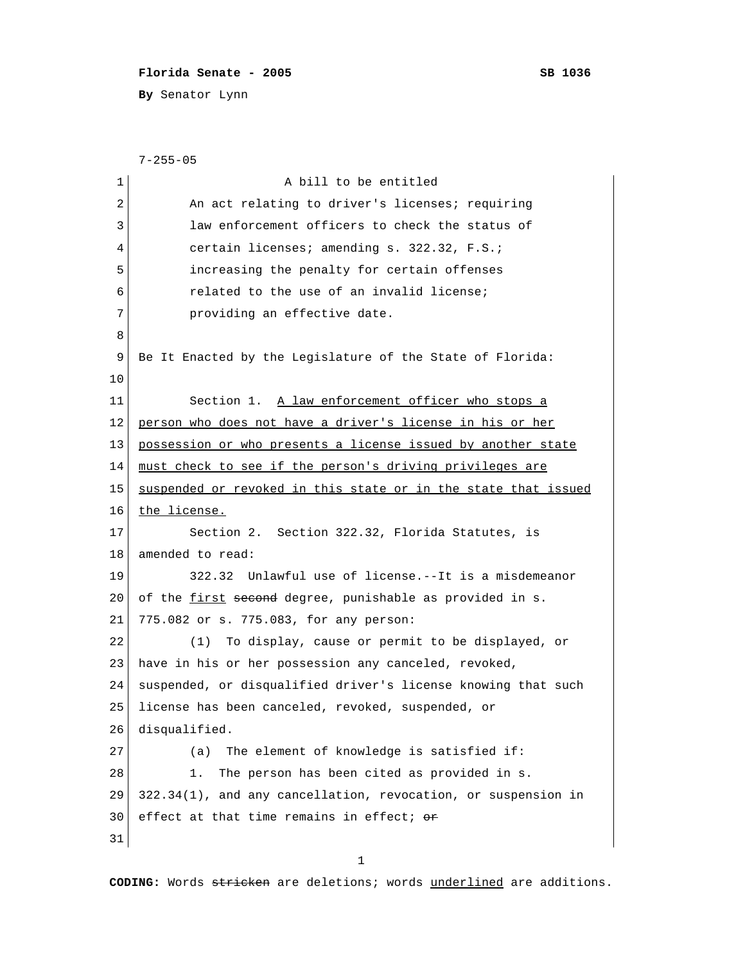## **Florida Senate - 2005 SB 1036**

**By** Senator Lynn

```
 7-255-05
 1 a bill to be entitled
 2 An act relating to driver's licenses; requiring
 3 law enforcement officers to check the status of
 4 certain licenses; amending s. 322.32, F.S.;
 5 increasing the penalty for certain offenses
  6 related to the use of an invalid license;
 7 providing an effective date.
 8 
 9 Be It Enacted by the Legislature of the State of Florida:
10 
11 Section 1. A law enforcement officer who stops a
12 person who does not have a driver's license in his or her
13 possession or who presents a license issued by another state
14 must check to see if the person's driving privileges are
15 suspended or revoked in this state or in the state that issued
16 the license.
17 Section 2. Section 322.32, Florida Statutes, is
18 amended to read:
19 322.32 Unlawful use of license.--It is a misdemeanor
20 of the first second degree, punishable as provided in s.
21 775.082 or s. 775.083, for any person:
22 (1) To display, cause or permit to be displayed, or
23 have in his or her possession any canceled, revoked,
24 suspended, or disqualified driver's license knowing that such
25 license has been canceled, revoked, suspended, or
26 disqualified.
27 (a) The element of knowledge is satisfied if:
28 1. The person has been cited as provided in s.
29 322.34(1), and any cancellation, revocation, or suspension in
30 effect at that time remains in effect; \thetar
31
```
1

**CODING:** Words stricken are deletions; words underlined are additions.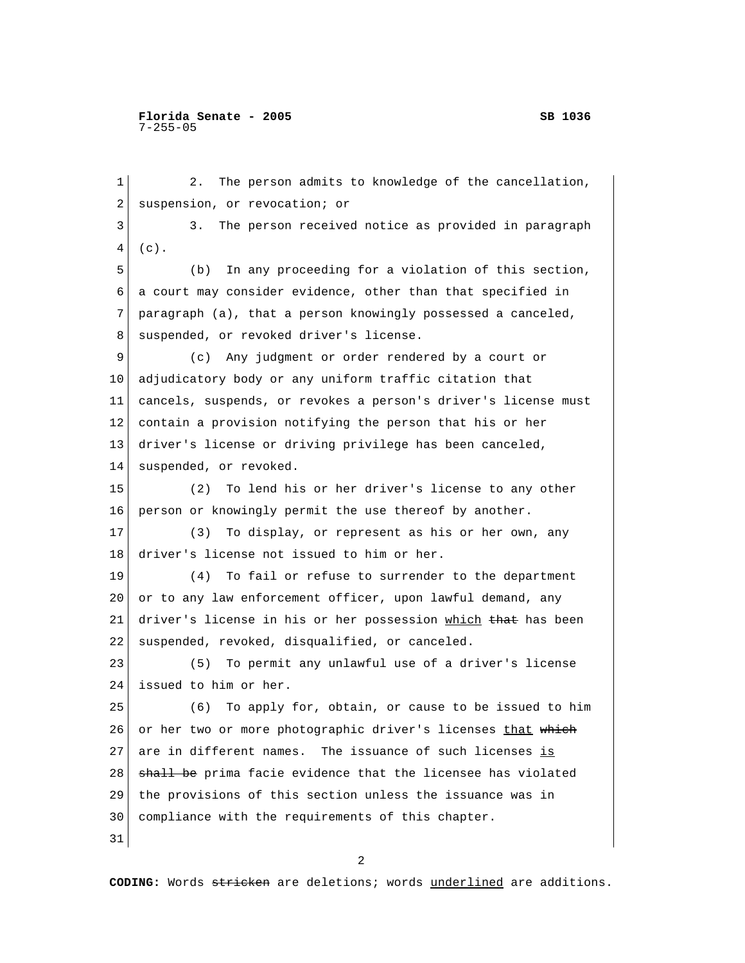1 2. The person admits to knowledge of the cancellation, 2 suspension, or revocation; or 3 3. The person received notice as provided in paragraph 4 (c). 5 (b) In any proceeding for a violation of this section, 6 a court may consider evidence, other than that specified in 7 paragraph (a), that a person knowingly possessed a canceled, 8 suspended, or revoked driver's license. 9 (c) Any judgment or order rendered by a court or 10 adjudicatory body or any uniform traffic citation that 11 cancels, suspends, or revokes a person's driver's license must 12 contain a provision notifying the person that his or her 13 driver's license or driving privilege has been canceled, 14 suspended, or revoked. 15 (2) To lend his or her driver's license to any other 16 person or knowingly permit the use thereof by another. 17 (3) To display, or represent as his or her own, any 18 driver's license not issued to him or her. 19 (4) To fail or refuse to surrender to the department 20 or to any law enforcement officer, upon lawful demand, any 21 driver's license in his or her possession which that has been 22 suspended, revoked, disqualified, or canceled. 23 (5) To permit any unlawful use of a driver's license 24 issued to him or her. 25 (6) To apply for, obtain, or cause to be issued to him 26 or her two or more photographic driver's licenses that which 27 are in different names. The issuance of such licenses is 28 shall be prima facie evidence that the licensee has violated 29 the provisions of this section unless the issuance was in 30 compliance with the requirements of this chapter. 31

2

**CODING:** Words stricken are deletions; words underlined are additions.